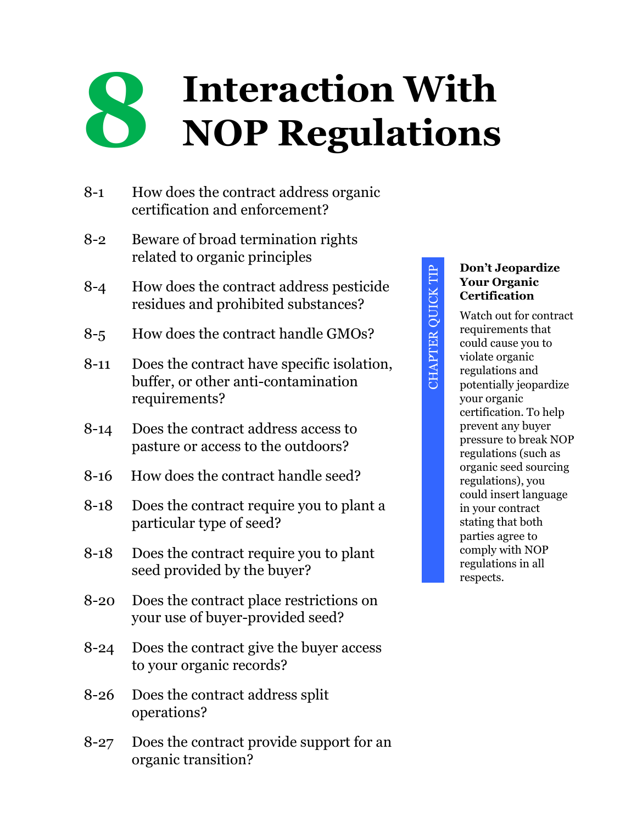# **8 Interaction With NOP Regulations**

- 8-1 How does the contract address organic certification and enforcement?
- 8-2 Beware of broad termination rights related to organic principles
- 8-4 How does the contract address pesticide residues and prohibited substances?
- 8-5 How does the contract handle GMOs?
- 8-11 Does the contract have specific isolation, buffer, or other anti-contamination requirements?
- 8-14 Does the contract address access to pasture or access to the outdoors?
- 8-16 How does the contract handle seed?
- 8-18 Does the contract require you to plant a particular type of seed?
- 8-18 Does the contract require you to plant seed provided by the buyer?
- 8-20 Does the contract place restrictions on your use of buyer-provided seed?
- 8-24 Does the contract give the buyer access to your organic records?
- 8-26 Does the contract address split operations?
- 8-27 Does the contract provide support for an organic transition?

# **Don't Jeopardize Your Organic Certification** Watch out for contract

CHAPTER QUICK TIP

**CHAPTER QUICK TIP** 

requirements that could cause you to violate organic regulations and potentially jeopardize your organic certification. To help prevent any buyer pressure to break NOP regulations (such as organic seed sourcing regulations), you could insert language in your contract stating that both parties agree to comply with NOP regulations in all respects.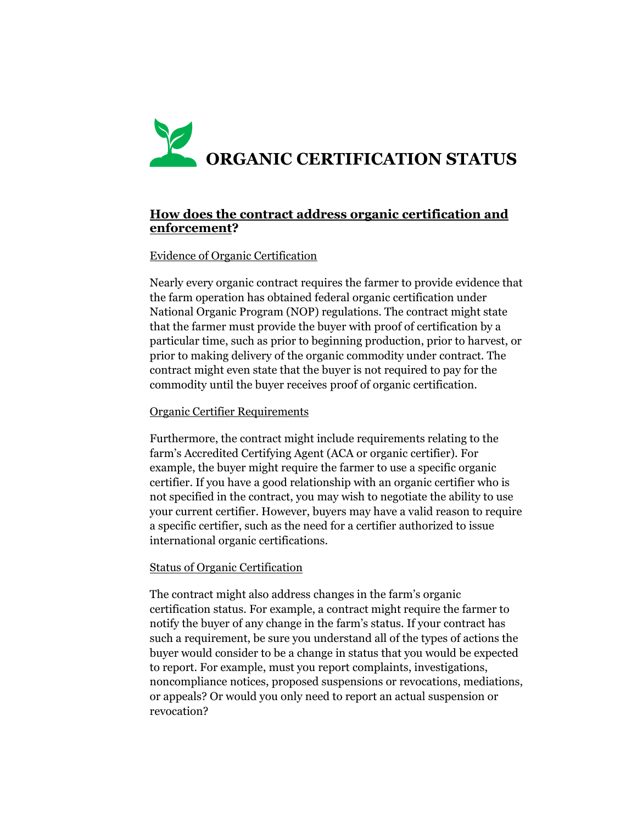# **ORGANIC CERTIFICATION STATUS**

# **How does the contract address organic certification and enforcement?**

# Evidence of Organic Certification

Nearly every organic contract requires the farmer to provide evidence that the farm operation has obtained federal organic certification under National Organic Program (NOP) regulations. The contract might state that the farmer must provide the buyer with proof of certification by a particular time, such as prior to beginning production, prior to harvest, or prior to making delivery of the organic commodity under contract. The contract might even state that the buyer is not required to pay for the commodity until the buyer receives proof of organic certification.

#### Organic Certifier Requirements

Furthermore, the contract might include requirements relating to the farm's Accredited Certifying Agent (ACA or organic certifier). For example, the buyer might require the farmer to use a specific organic certifier. If you have a good relationship with an organic certifier who is not specified in the contract, you may wish to negotiate the ability to use your current certifier. However, buyers may have a valid reason to require a specific certifier, such as the need for a certifier authorized to issue international organic certifications.

#### Status of Organic Certification

The contract might also address changes in the farm's organic certification status. For example, a contract might require the farmer to notify the buyer of any change in the farm's status. If your contract has such a requirement, be sure you understand all of the types of actions the buyer would consider to be a change in status that you would be expected to report. For example, must you report complaints, investigations, noncompliance notices, proposed suspensions or revocations, mediations, or appeals? Or would you only need to report an actual suspension or revocation?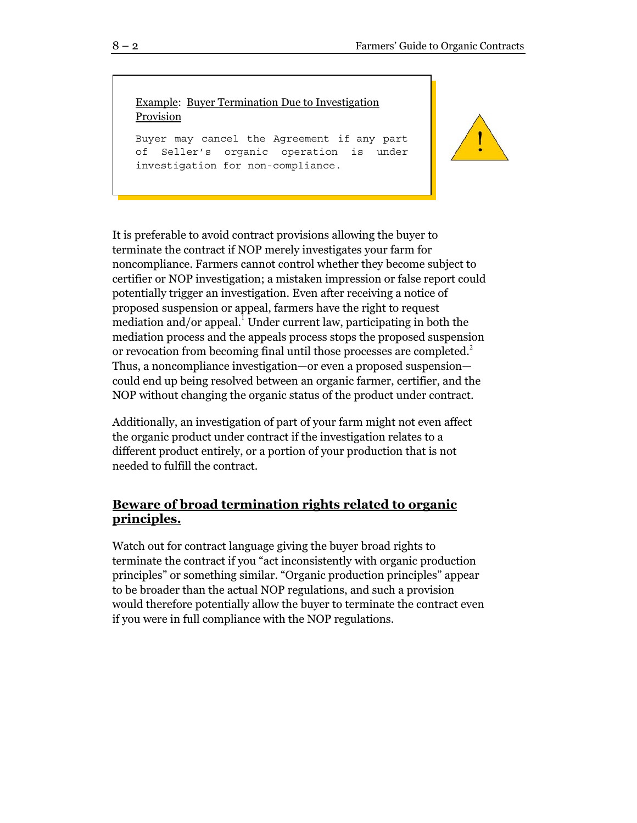Example: Buyer Termination Due to Investigation Provision

Buyer may cancel the Agreement if any part of Seller's organic operation is under investigation for non-compliance.



It is preferable to avoid contract provisions allowing the buyer to terminate the contract if NOP merely investigates your farm for noncompliance. Farmers cannot control whether they become subject to certifier or NOP investigation; a mistaken impression or false report could potentially trigger an investigation. Even after receiving a notice of proposed suspension or appeal, farmers have the right to request mediation and/or appeal.<sup>1</sup> Under current law, participating in both the mediation process and the appeals process stops the proposed suspension or revocation from becoming final until those processes are completed.<sup>2</sup> Thus, a noncompliance investigation—or even a proposed suspension could end up being resolved between an organic farmer, certifier, and the NOP without changing the organic status of the product under contract.

Additionally, an investigation of part of your farm might not even affect the organic product under contract if the investigation relates to a different product entirely, or a portion of your production that is not needed to fulfill the contract.

# **Beware of broad termination rights related to organic principles.**

Watch out for contract language giving the buyer broad rights to terminate the contract if you "act inconsistently with organic production principles" or something similar. "Organic production principles" appear to be broader than the actual NOP regulations, and such a provision would therefore potentially allow the buyer to terminate the contract even if you were in full compliance with the NOP regulations.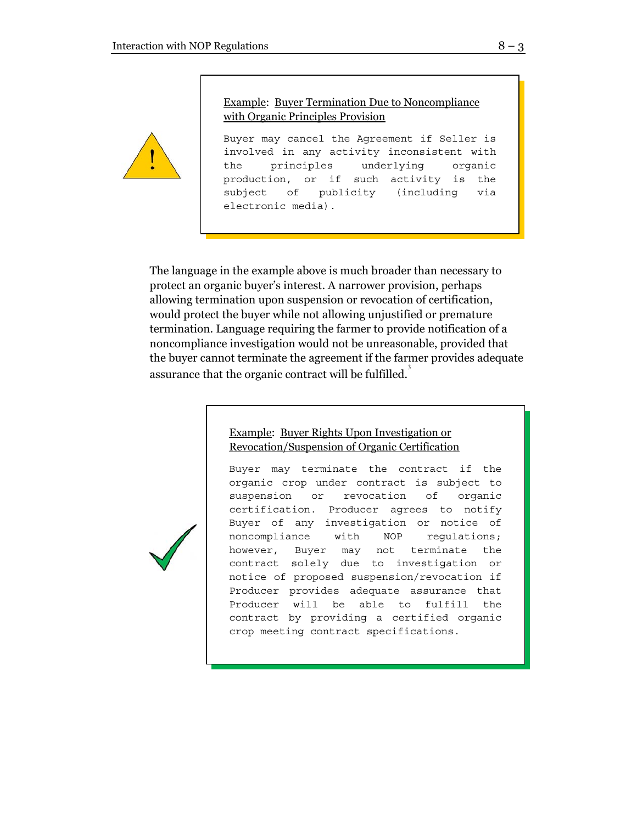

Example: Buyer Termination Due to Noncompliance with Organic Principles Provision

Buyer may cancel the Agreement if Seller is involved in any activity inconsistent with the principles underlying organic production, or if such activity is the subject of publicity (including via electronic media).

The language in the example above is much broader than necessary to protect an organic buyer's interest. A narrower provision, perhaps allowing termination upon suspension or revocation of certification, would protect the buyer while not allowing unjustified or premature termination. Language requiring the farmer to provide notification of a noncompliance investigation would not be unreasonable, provided that the buyer cannot terminate the agreement if the farmer provides adequate assurance that the organic contract will be fulfilled.<sup>3</sup>

#### Example: Buyer Rights Upon Investigation or Revocation/Suspension of Organic Certification

Buyer may terminate the contract if the organic crop under contract is subject to suspension or revocation of organic certification. Producer agrees to notify Buyer of any investigation or notice of noncompliance with NOP regulations; however, Buyer may not terminate the contract solely due to investigation or notice of proposed suspension/revocation if Producer provides adequate assurance that Producer will be able to fulfill the contract by providing a certified organic crop meeting contract specifications.

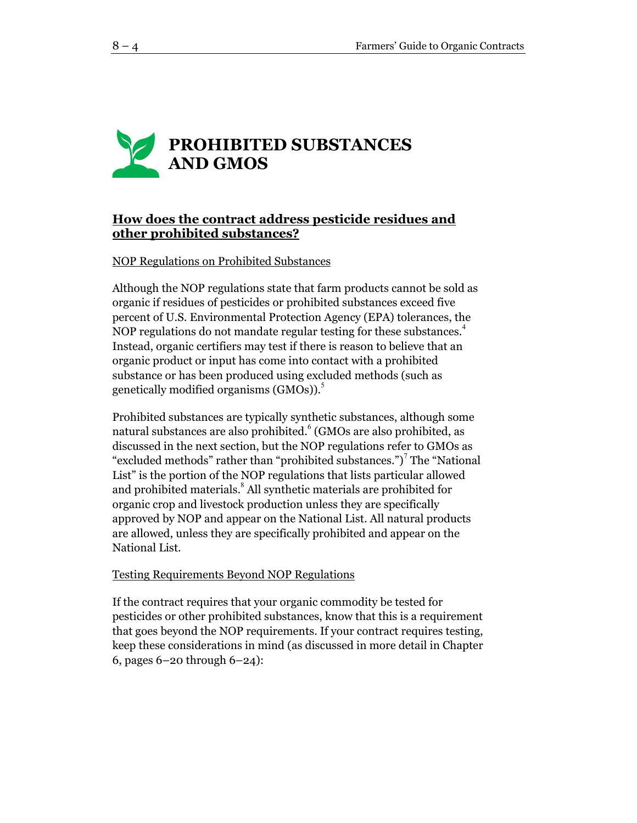# **PROHIBITED SUBSTANCES AND GMOS**

# **How does the contract address pesticide residues and other prohibited substances?**

# NOP Regulations on Prohibited Substances

Although the NOP regulations state that farm products cannot be sold as organic if residues of pesticides or prohibited substances exceed five percent of U.S. Environmental Protection Agency (EPA) tolerances, the NOP regulations do not mandate regular testing for these substances.<sup>4</sup> Instead, organic certifiers may test if there is reason to believe that an organic product or input has come into contact with a prohibited substance or has been produced using excluded methods (such as genetically modified organisms  $(GMOs)$ ).<sup>5</sup>

Prohibited substances are typically synthetic substances, although some natural substances are also prohibited. $^6$  (GMOs are also prohibited, as discussed in the next section, but the NOP regulations refer to GMOs as "excluded methods" rather than "prohibited substances.")<sup>7</sup> The "National List" is the portion of the NOP regulations that lists particular allowed and prohibited materials.<sup>8</sup> All synthetic materials are prohibited for organic crop and livestock production unless they are specifically approved by NOP and appear on the National List. All natural products are allowed, unless they are specifically prohibited and appear on the National List.

#### Testing Requirements Beyond NOP Regulations

If the contract requires that your organic commodity be tested for pesticides or other prohibited substances, know that this is a requirement that goes beyond the NOP requirements. If your contract requires testing, keep these considerations in mind (as discussed in more detail in Chapter 6, pages 6–20 through 6–24):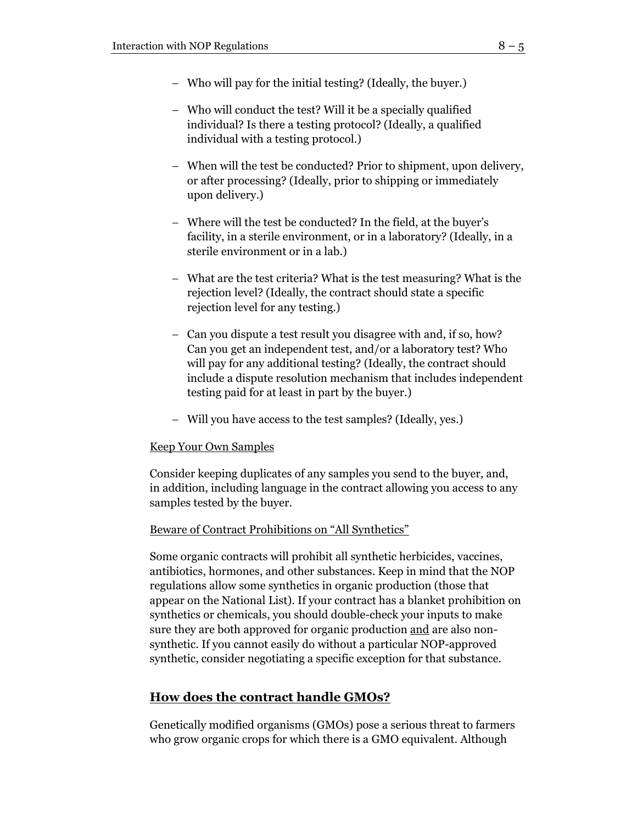- − Who will pay for the initial testing? (Ideally, the buyer.)
- − Who will conduct the test? Will it be a specially qualified individual? Is there a testing protocol? (Ideally, a qualified individual with a testing protocol.)
- − When will the test be conducted? Prior to shipment, upon delivery, or after processing? (Ideally, prior to shipping or immediately upon delivery.)
- − Where will the test be conducted? In the field, at the buyer's facility, in a sterile environment, or in a laboratory? (Ideally, in a sterile environment or in a lab.)
- − What are the test criteria? What is the test measuring? What is the rejection level? (Ideally, the contract should state a specific rejection level for any testing.)
- − Can you dispute a test result you disagree with and, if so, how? Can you get an independent test, and/or a laboratory test? Who will pay for any additional testing? (Ideally, the contract should include a dispute resolution mechanism that includes independent testing paid for at least in part by the buyer.)
- − Will you have access to the test samples? (Ideally, yes.)

# Keep Your Own Samples

Consider keeping duplicates of any samples you send to the buyer, and, in addition, including language in the contract allowing you access to any samples tested by the buyer.

# Beware of Contract Prohibitions on "All Synthetics"

Some organic contracts will prohibit all synthetic herbicides, vaccines, antibiotics, hormones, and other substances. Keep in mind that the NOP regulations allow some synthetics in organic production (those that appear on the National List). If your contract has a blanket prohibition on synthetics or chemicals, you should double-check your inputs to make sure they are both approved for organic production and are also nonsynthetic. If you cannot easily do without a particular NOP-approved synthetic, consider negotiating a specific exception for that substance.

# **How does the contract handle GMOs?**

Genetically modified organisms (GMOs) pose a serious threat to farmers who grow organic crops for which there is a GMO equivalent. Although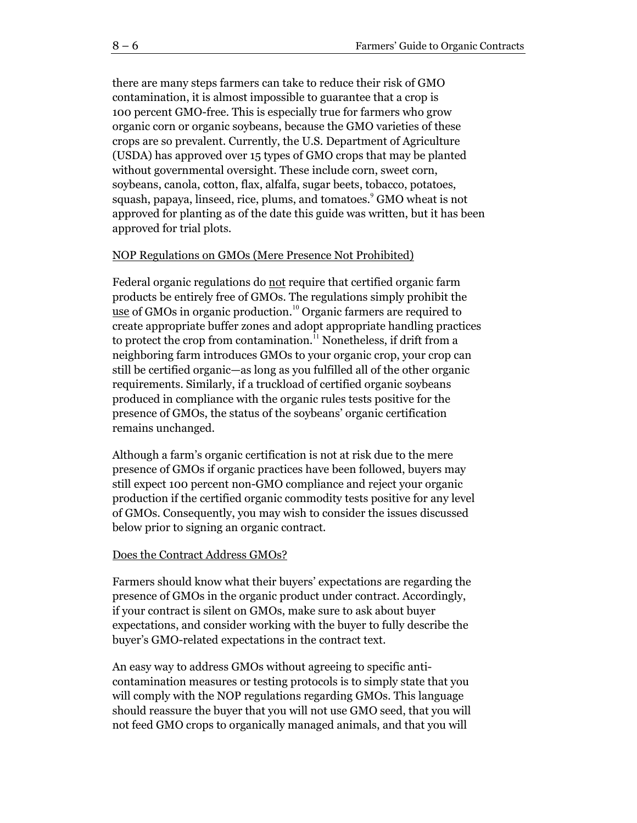there are many steps farmers can take to reduce their risk of GMO contamination, it is almost impossible to guarantee that a crop is 100 percent GMO-free. This is especially true for farmers who grow organic corn or organic soybeans, because the GMO varieties of these crops are so prevalent. Currently, the U.S. Department of Agriculture (USDA) has approved over 15 types of GMO crops that may be planted without governmental oversight. These include corn, sweet corn, soybeans, canola, cotton, flax, alfalfa, sugar beets, tobacco, potatoes, squash, papaya, linseed, rice, plums, and tomatoes. <sup>9</sup> GMO wheat is not approved for planting as of the date this guide was written, but it has been approved for trial plots.

#### NOP Regulations on GMOs (Mere Presence Not Prohibited)

Federal organic regulations do not require that certified organic farm products be entirely free of GMOs. The regulations simply prohibit the use of GMOs in organic production.<sup>10</sup> Organic farmers are required to create appropriate buffer zones and adopt appropriate handling practices to protect the crop from contamination.<sup>11</sup> Nonetheless, if drift from a neighboring farm introduces GMOs to your organic crop, your crop can still be certified organic—as long as you fulfilled all of the other organic requirements. Similarly, if a truckload of certified organic soybeans produced in compliance with the organic rules tests positive for the presence of GMOs, the status of the soybeans' organic certification remains unchanged.

Although a farm's organic certification is not at risk due to the mere presence of GMOs if organic practices have been followed, buyers may still expect 100 percent non-GMO compliance and reject your organic production if the certified organic commodity tests positive for any level of GMOs. Consequently, you may wish to consider the issues discussed below prior to signing an organic contract.

#### Does the Contract Address GMOs?

Farmers should know what their buyers' expectations are regarding the presence of GMOs in the organic product under contract. Accordingly, if your contract is silent on GMOs, make sure to ask about buyer expectations, and consider working with the buyer to fully describe the buyer's GMO-related expectations in the contract text.

An easy way to address GMOs without agreeing to specific anticontamination measures or testing protocols is to simply state that you will comply with the NOP regulations regarding GMOs. This language should reassure the buyer that you will not use GMO seed, that you will not feed GMO crops to organically managed animals, and that you will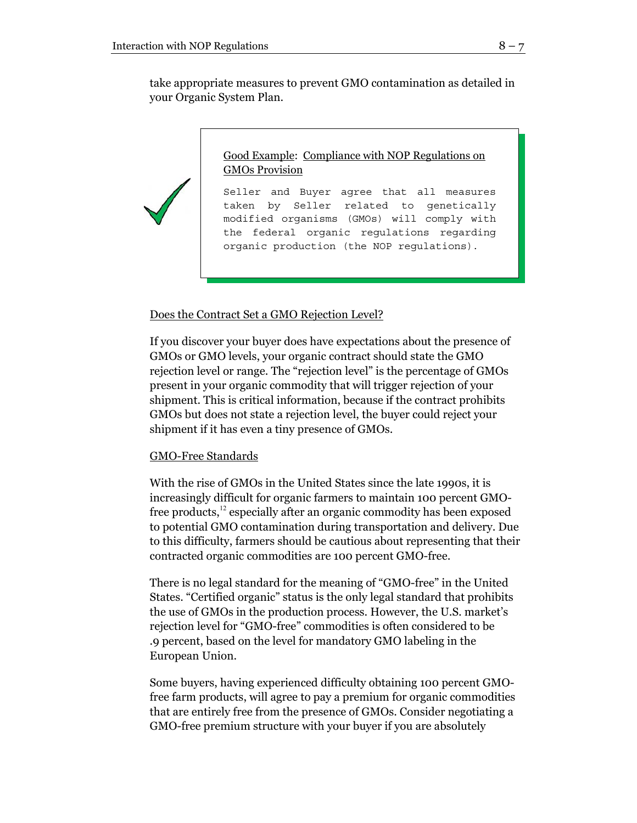take appropriate measures to prevent GMO contamination as detailed in your Organic System Plan.

> Good Example: Compliance with NOP Regulations on GMOs Provision

Seller and Buyer agree that all measures taken by Seller related to genetically modified organisms (GMOs) will comply with the federal organic regulations regarding organic production (the NOP regulations).

#### Does the Contract Set a GMO Rejection Level?

If you discover your buyer does have expectations about the presence of GMOs or GMO levels, your organic contract should state the GMO rejection level or range. The "rejection level" is the percentage of GMOs present in your organic commodity that will trigger rejection of your shipment. This is critical information, because if the contract prohibits GMOs but does not state a rejection level, the buyer could reject your shipment if it has even a tiny presence of GMOs.

#### GMO-Free Standards

With the rise of GMOs in the United States since the late 1990s, it is increasingly difficult for organic farmers to maintain 100 percent GMOfree products,<sup>12</sup> especially after an organic commodity has been exposed to potential GMO contamination during transportation and delivery. Due to this difficulty, farmers should be cautious about representing that their contracted organic commodities are 100 percent GMO-free.

There is no legal standard for the meaning of "GMO-free" in the United States. "Certified organic" status is the only legal standard that prohibits the use of GMOs in the production process. However, the U.S. market's rejection level for "GMO-free" commodities is often considered to be .9 percent, based on the level for mandatory GMO labeling in the European Union.

Some buyers, having experienced difficulty obtaining 100 percent GMOfree farm products, will agree to pay a premium for organic commodities that are entirely free from the presence of GMOs. Consider negotiating a GMO-free premium structure with your buyer if you are absolutely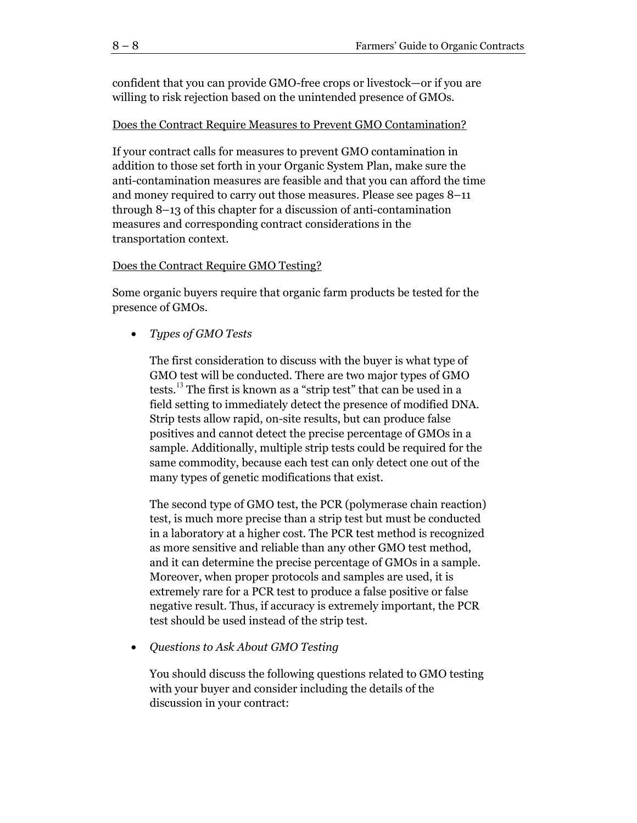confident that you can provide GMO-free crops or livestock—or if you are willing to risk rejection based on the unintended presence of GMOs.

#### Does the Contract Require Measures to Prevent GMO Contamination?

If your contract calls for measures to prevent GMO contamination in addition to those set forth in your Organic System Plan, make sure the anti-contamination measures are feasible and that you can afford the time and money required to carry out those measures. Please see pages 8–11 through 8–13 of this chapter for a discussion of anti-contamination measures and corresponding contract considerations in the transportation context.

#### Does the Contract Require GMO Testing?

Some organic buyers require that organic farm products be tested for the presence of GMOs.

• *Types of GMO Tests* 

The first consideration to discuss with the buyer is what type of GMO test will be conducted. There are two major types of GMO tests.<sup>13</sup> The first is known as a "strip test" that can be used in a field setting to immediately detect the presence of modified DNA. Strip tests allow rapid, on-site results, but can produce false positives and cannot detect the precise percentage of GMOs in a sample. Additionally, multiple strip tests could be required for the same commodity, because each test can only detect one out of the many types of genetic modifications that exist.

The second type of GMO test, the PCR (polymerase chain reaction) test, is much more precise than a strip test but must be conducted in a laboratory at a higher cost. The PCR test method is recognized as more sensitive and reliable than any other GMO test method, and it can determine the precise percentage of GMOs in a sample. Moreover, when proper protocols and samples are used, it is extremely rare for a PCR test to produce a false positive or false negative result. Thus, if accuracy is extremely important, the PCR test should be used instead of the strip test.

• *Questions to Ask About GMO Testing* 

You should discuss the following questions related to GMO testing with your buyer and consider including the details of the discussion in your contract: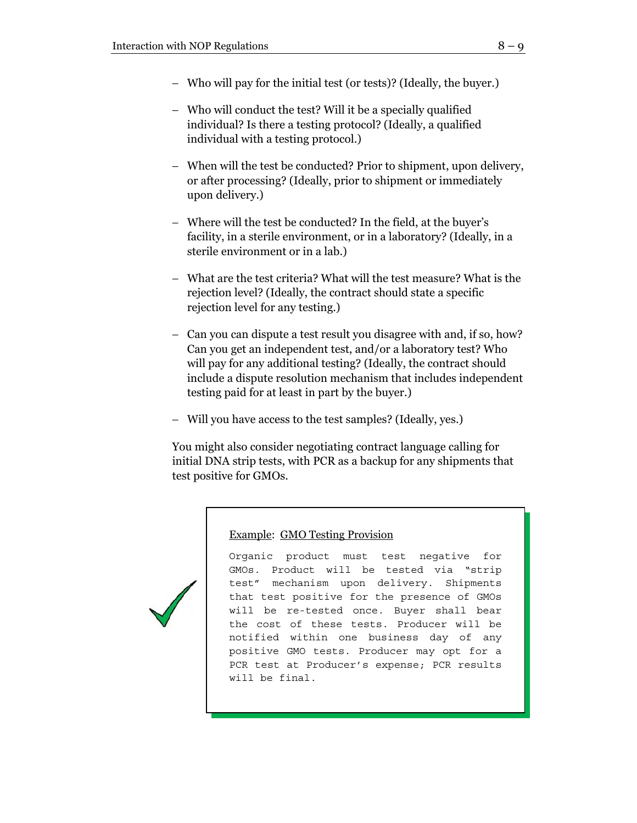- − Who will pay for the initial test (or tests)? (Ideally, the buyer.)
- − Who will conduct the test? Will it be a specially qualified individual? Is there a testing protocol? (Ideally, a qualified individual with a testing protocol.)
- − When will the test be conducted? Prior to shipment, upon delivery, or after processing? (Ideally, prior to shipment or immediately upon delivery.)
- − Where will the test be conducted? In the field, at the buyer's facility, in a sterile environment, or in a laboratory? (Ideally, in a sterile environment or in a lab.)
- − What are the test criteria? What will the test measure? What is the rejection level? (Ideally, the contract should state a specific rejection level for any testing.)
- − Can you can dispute a test result you disagree with and, if so, how? Can you get an independent test, and/or a laboratory test? Who will pay for any additional testing? (Ideally, the contract should include a dispute resolution mechanism that includes independent testing paid for at least in part by the buyer.)
- − Will you have access to the test samples? (Ideally, yes.)

You might also consider negotiating contract language calling for initial DNA strip tests, with PCR as a backup for any shipments that test positive for GMOs.



# Example: GMO Testing Provision

Organic product must test negative for GMOs. Product will be tested via "strip test" mechanism upon delivery. Shipments that test positive for the presence of GMOs will be re-tested once. Buyer shall bear the cost of these tests. Producer will be notified within one business day of any positive GMO tests. Producer may opt for a PCR test at Producer's expense; PCR results will be final.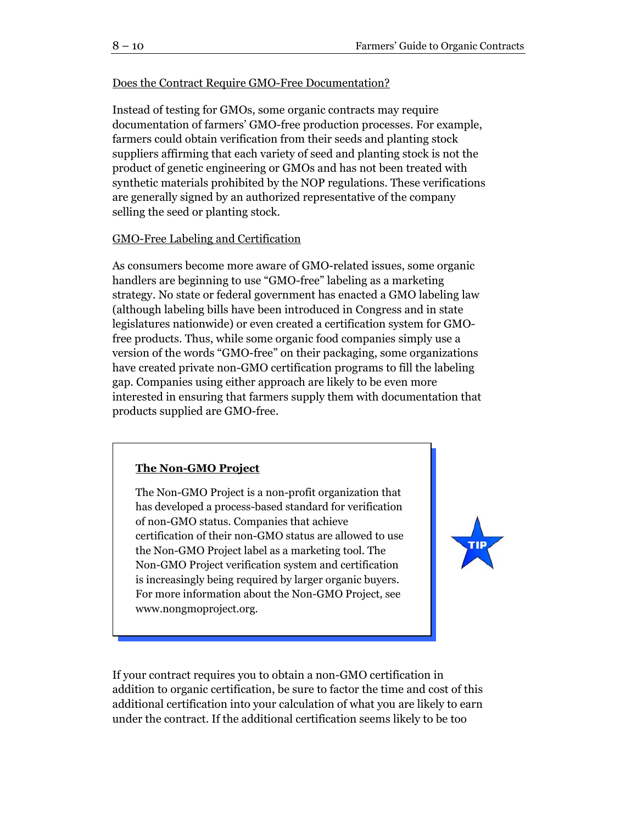# Does the Contract Require GMO-Free Documentation?

Instead of testing for GMOs, some organic contracts may require documentation of farmers' GMO-free production processes. For example, farmers could obtain verification from their seeds and planting stock suppliers affirming that each variety of seed and planting stock is not the product of genetic engineering or GMOs and has not been treated with synthetic materials prohibited by the NOP regulations. These verifications are generally signed by an authorized representative of the company selling the seed or planting stock.

#### GMO-Free Labeling and Certification

As consumers become more aware of GMO-related issues, some organic handlers are beginning to use "GMO-free" labeling as a marketing strategy. No state or federal government has enacted a GMO labeling law (although labeling bills have been introduced in Congress and in state legislatures nationwide) or even created a certification system for GMOfree products. Thus, while some organic food companies simply use a version of the words "GMO-free" on their packaging, some organizations have created private non-GMO certification programs to fill the labeling gap. Companies using either approach are likely to be even more interested in ensuring that farmers supply them with documentation that products supplied are GMO-free.

# **The Non-GMO Project**

The Non-GMO Project is a non-profit organization that has developed a process-based standard for verification of non-GMO status. Companies that achieve certification of their non-GMO status are allowed to use the Non-GMO Project label as a marketing tool. The Non-GMO Project verification system and certification is increasingly being required by larger organic buyers. For more information about the Non-GMO Project, see www.nongmoproject.org.



If your contract requires you to obtain a non-GMO certification in addition to organic certification, be sure to factor the time and cost of this additional certification into your calculation of what you are likely to earn under the contract. If the additional certification seems likely to be too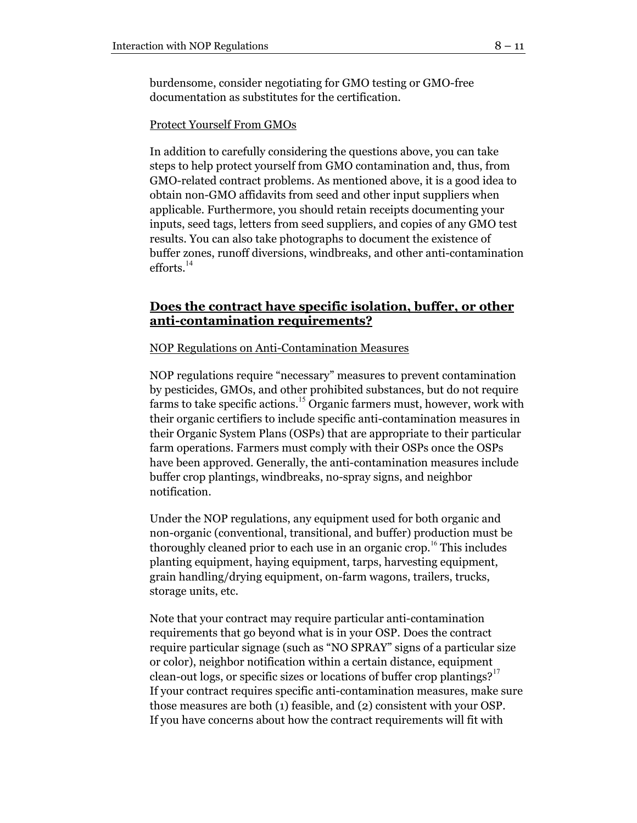burdensome, consider negotiating for GMO testing or GMO-free documentation as substitutes for the certification.

#### Protect Yourself From GMOs

In addition to carefully considering the questions above, you can take steps to help protect yourself from GMO contamination and, thus, from GMO-related contract problems. As mentioned above, it is a good idea to obtain non-GMO affidavits from seed and other input suppliers when applicable. Furthermore, you should retain receipts documenting your inputs, seed tags, letters from seed suppliers, and copies of any GMO test results. You can also take photographs to document the existence of buffer zones, runoff diversions, windbreaks, and other anti-contamination  $efforts.<sup>14</sup>$ 

# **Does the contract have specific isolation, buffer, or other anti-contamination requirements?**

NOP Regulations on Anti-Contamination Measures

NOP regulations require "necessary" measures to prevent contamination by pesticides, GMOs, and other prohibited substances, but do not require farms to take specific actions.<sup>15</sup> Organic farmers must, however, work with their organic certifiers to include specific anti-contamination measures in their Organic System Plans (OSPs) that are appropriate to their particular farm operations. Farmers must comply with their OSPs once the OSPs have been approved. Generally, the anti-contamination measures include buffer crop plantings, windbreaks, no-spray signs, and neighbor notification.

Under the NOP regulations, any equipment used for both organic and non-organic (conventional, transitional, and buffer) production must be thoroughly cleaned prior to each use in an organic crop.<sup>16</sup> This includes planting equipment, haying equipment, tarps, harvesting equipment, grain handling/drying equipment, on-farm wagons, trailers, trucks, storage units, etc.

Note that your contract may require particular anti-contamination requirements that go beyond what is in your OSP. Does the contract require particular signage (such as "NO SPRAY" signs of a particular size or color), neighbor notification within a certain distance, equipment clean-out logs, or specific sizes or locations of buffer crop plantings?<sup>17</sup> If your contract requires specific anti-contamination measures, make sure those measures are both (1) feasible, and (2) consistent with your OSP. If you have concerns about how the contract requirements will fit with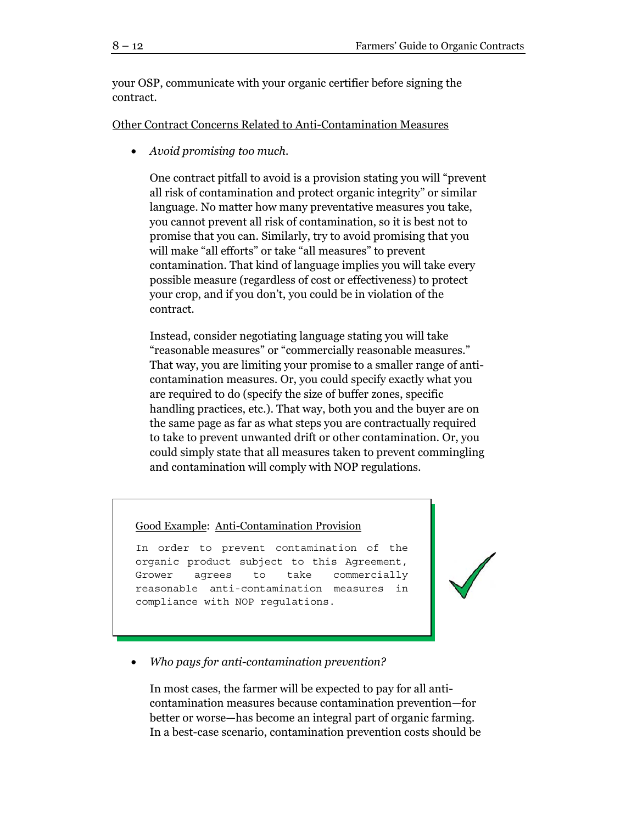your OSP, communicate with your organic certifier before signing the contract.

Other Contract Concerns Related to Anti-Contamination Measures

• *Avoid promising too much.* 

One contract pitfall to avoid is a provision stating you will "prevent all risk of contamination and protect organic integrity" or similar language. No matter how many preventative measures you take, you cannot prevent all risk of contamination, so it is best not to promise that you can. Similarly, try to avoid promising that you will make "all efforts" or take "all measures" to prevent contamination. That kind of language implies you will take every possible measure (regardless of cost or effectiveness) to protect your crop, and if you don't, you could be in violation of the contract.

Instead, consider negotiating language stating you will take "reasonable measures" or "commercially reasonable measures." That way, you are limiting your promise to a smaller range of anticontamination measures. Or, you could specify exactly what you are required to do (specify the size of buffer zones, specific handling practices, etc.). That way, both you and the buyer are on the same page as far as what steps you are contractually required to take to prevent unwanted drift or other contamination. Or, you could simply state that all measures taken to prevent commingling and contamination will comply with NOP regulations.

#### Good Example: Anti-Contamination Provision

In order to prevent contamination of the organic product subject to this Agreement, Grower agrees to take commercially reasonable anti-contamination measures in compliance with NOP regulations.



# • *Who pays for anti-contamination prevention?*

In most cases, the farmer will be expected to pay for all anticontamination measures because contamination prevention—for better or worse—has become an integral part of organic farming. In a best-case scenario, contamination prevention costs should be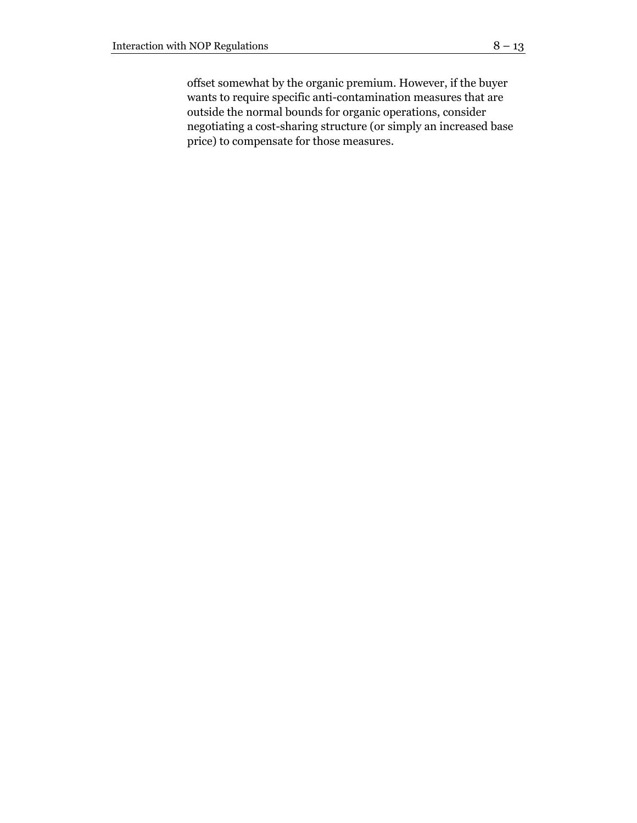offset somewhat by the organic premium. However, if the buyer wants to require specific anti-contamination measures that are outside the normal bounds for organic operations, consider negotiating a cost-sharing structure (or simply an increased base price) to compensate for those measures.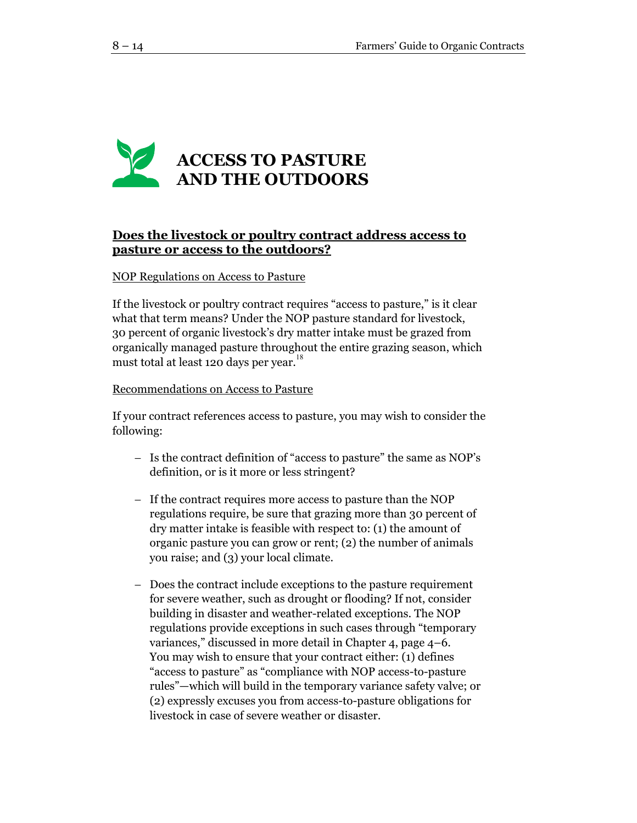

# **Does the livestock or poultry contract address access to pasture or access to the outdoors?**

#### NOP Regulations on Access to Pasture

If the livestock or poultry contract requires "access to pasture," is it clear what that term means? Under the NOP pasture standard for livestock, 30 percent of organic livestock's dry matter intake must be grazed from organically managed pasture throughout the entire grazing season, which must total at least 120 days per year.<sup>18</sup>

#### Recommendations on Access to Pasture

If your contract references access to pasture, you may wish to consider the following:

- − Is the contract definition of "access to pasture" the same as NOP's definition, or is it more or less stringent?
- − If the contract requires more access to pasture than the NOP regulations require, be sure that grazing more than 30 percent of dry matter intake is feasible with respect to: (1) the amount of organic pasture you can grow or rent; (2) the number of animals you raise; and (3) your local climate.
- − Does the contract include exceptions to the pasture requirement for severe weather, such as drought or flooding? If not, consider building in disaster and weather-related exceptions. The NOP regulations provide exceptions in such cases through "temporary variances," discussed in more detail in Chapter 4, page 4–6. You may wish to ensure that your contract either: (1) defines "access to pasture" as "compliance with NOP access-to-pasture rules"—which will build in the temporary variance safety valve; or (2) expressly excuses you from access-to-pasture obligations for livestock in case of severe weather or disaster.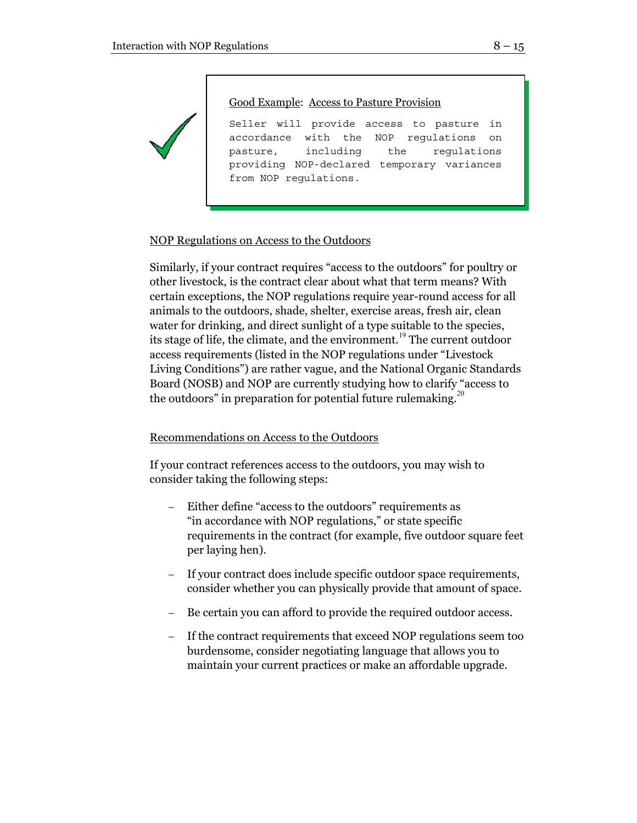Good Example: Access to Pasture Provision

Seller will provide access to pasture in accordance with the NOP regulations on pasture, including the regulations providing NOP-declared temporary variances from NOP regulations.

# NOP Regulations on Access to the Outdoors

Similarly, if your contract requires "access to the outdoors" for poultry or other livestock, is the contract clear about what that term means? With certain exceptions, the NOP regulations require year-round access for all animals to the outdoors, shade, shelter, exercise areas, fresh air, clean water for drinking, and direct sunlight of a type suitable to the species, its stage of life, the climate, and the environment.<sup>19</sup> The current outdoor access requirements (listed in the NOP regulations under "Livestock Living Conditions") are rather vague, and the National Organic Standards Board (NOSB) and NOP are currently studying how to clarify "access to the outdoors" in preparation for potential future rulemaking.<sup>20</sup>

# Recommendations on Access to the Outdoors

If your contract references access to the outdoors, you may wish to consider taking the following steps:

- Either define "access to the outdoors" requirements as "in accordance with NOP regulations," or state specific requirements in the contract (for example, five outdoor square feet per laying hen).
- If your contract does include specific outdoor space requirements, consider whether you can physically provide that amount of space.
- Be certain you can afford to provide the required outdoor access.
- If the contract requirements that exceed NOP regulations seem too burdensome, consider negotiating language that allows you to maintain your current practices or make an affordable upgrade.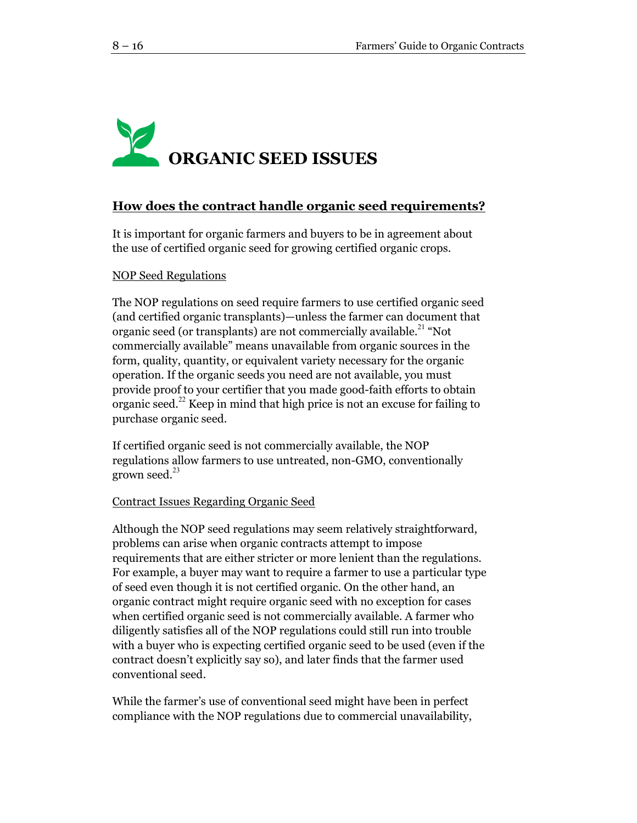# **ORGANIC SEED ISSUES**

# **How does the contract handle organic seed requirements?**

It is important for organic farmers and buyers to be in agreement about the use of certified organic seed for growing certified organic crops.

#### NOP Seed Regulations

The NOP regulations on seed require farmers to use certified organic seed (and certified organic transplants)—unless the farmer can document that organic seed (or transplants) are not commercially available.<sup>21</sup> "Not commercially available" means unavailable from organic sources in the form, quality, quantity, or equivalent variety necessary for the organic operation. If the organic seeds you need are not available, you must provide proof to your certifier that you made good-faith efforts to obtain organic seed.<sup>22</sup> Keep in mind that high price is not an excuse for failing to purchase organic seed.

If certified organic seed is not commercially available, the NOP regulations allow farmers to use untreated, non-GMO, conventionally grown seed. $^{23}$ 

#### Contract Issues Regarding Organic Seed

Although the NOP seed regulations may seem relatively straightforward, problems can arise when organic contracts attempt to impose requirements that are either stricter or more lenient than the regulations. For example, a buyer may want to require a farmer to use a particular type of seed even though it is not certified organic. On the other hand, an organic contract might require organic seed with no exception for cases when certified organic seed is not commercially available. A farmer who diligently satisfies all of the NOP regulations could still run into trouble with a buyer who is expecting certified organic seed to be used (even if the contract doesn't explicitly say so), and later finds that the farmer used conventional seed.

While the farmer's use of conventional seed might have been in perfect compliance with the NOP regulations due to commercial unavailability,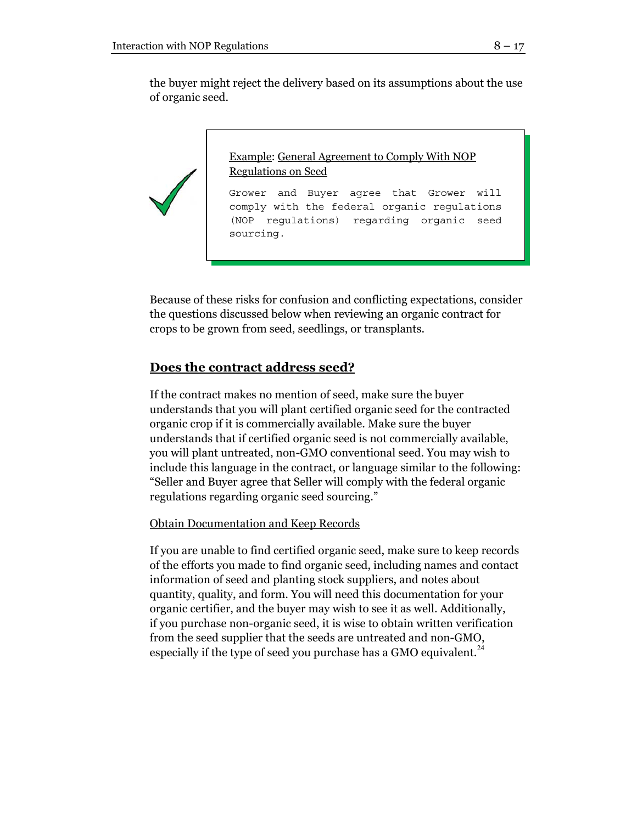the buyer might reject the delivery based on its assumptions about the use of organic seed.



Because of these risks for confusion and conflicting expectations, consider the questions discussed below when reviewing an organic contract for crops to be grown from seed, seedlings, or transplants.

# **Does the contract address seed?**

If the contract makes no mention of seed, make sure the buyer understands that you will plant certified organic seed for the contracted organic crop if it is commercially available. Make sure the buyer understands that if certified organic seed is not commercially available, you will plant untreated, non-GMO conventional seed. You may wish to include this language in the contract, or language similar to the following: "Seller and Buyer agree that Seller will comply with the federal organic regulations regarding organic seed sourcing."

# Obtain Documentation and Keep Records

If you are unable to find certified organic seed, make sure to keep records of the efforts you made to find organic seed, including names and contact information of seed and planting stock suppliers, and notes about quantity, quality, and form. You will need this documentation for your organic certifier, and the buyer may wish to see it as well. Additionally, if you purchase non-organic seed, it is wise to obtain written verification from the seed supplier that the seeds are untreated and non-GMO, especially if the type of seed you purchase has a GMO equivalent.<sup>24</sup>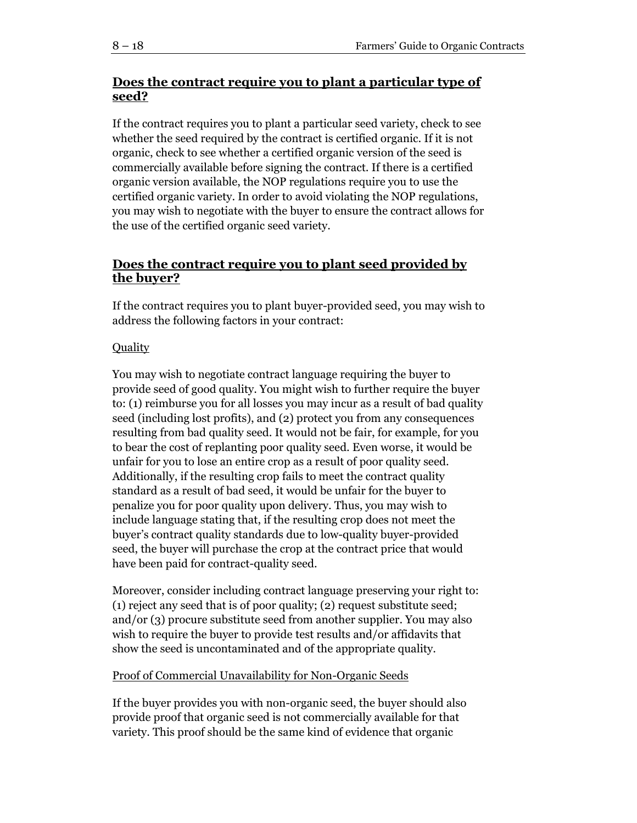# **Does the contract require you to plant a particular type of seed?**

If the contract requires you to plant a particular seed variety, check to see whether the seed required by the contract is certified organic. If it is not organic, check to see whether a certified organic version of the seed is commercially available before signing the contract. If there is a certified organic version available, the NOP regulations require you to use the certified organic variety. In order to avoid violating the NOP regulations, you may wish to negotiate with the buyer to ensure the contract allows for the use of the certified organic seed variety.

# **Does the contract require you to plant seed provided by the buyer?**

If the contract requires you to plant buyer-provided seed, you may wish to address the following factors in your contract:

# **Quality**

You may wish to negotiate contract language requiring the buyer to provide seed of good quality. You might wish to further require the buyer to: (1) reimburse you for all losses you may incur as a result of bad quality seed (including lost profits), and (2) protect you from any consequences resulting from bad quality seed. It would not be fair, for example, for you to bear the cost of replanting poor quality seed. Even worse, it would be unfair for you to lose an entire crop as a result of poor quality seed. Additionally, if the resulting crop fails to meet the contract quality standard as a result of bad seed, it would be unfair for the buyer to penalize you for poor quality upon delivery. Thus, you may wish to include language stating that, if the resulting crop does not meet the buyer's contract quality standards due to low-quality buyer-provided seed, the buyer will purchase the crop at the contract price that would have been paid for contract-quality seed.

Moreover, consider including contract language preserving your right to: (1) reject any seed that is of poor quality; (2) request substitute seed; and/or (3) procure substitute seed from another supplier. You may also wish to require the buyer to provide test results and/or affidavits that show the seed is uncontaminated and of the appropriate quality.

# Proof of Commercial Unavailability for Non-Organic Seeds

If the buyer provides you with non-organic seed, the buyer should also provide proof that organic seed is not commercially available for that variety. This proof should be the same kind of evidence that organic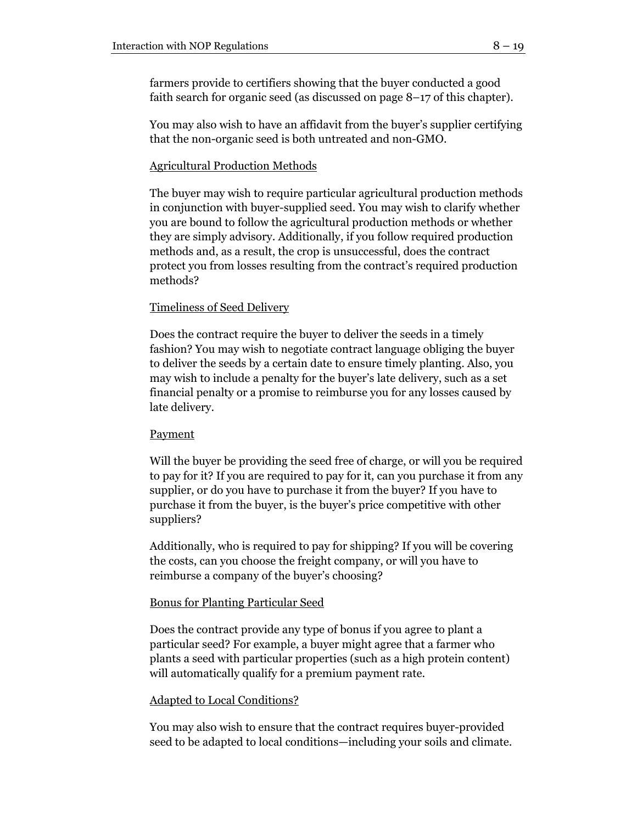farmers provide to certifiers showing that the buyer conducted a good faith search for organic seed (as discussed on page 8–17 of this chapter).

You may also wish to have an affidavit from the buyer's supplier certifying that the non-organic seed is both untreated and non-GMO.

# Agricultural Production Methods

The buyer may wish to require particular agricultural production methods in conjunction with buyer-supplied seed. You may wish to clarify whether you are bound to follow the agricultural production methods or whether they are simply advisory. Additionally, if you follow required production methods and, as a result, the crop is unsuccessful, does the contract protect you from losses resulting from the contract's required production methods?

# Timeliness of Seed Delivery

Does the contract require the buyer to deliver the seeds in a timely fashion? You may wish to negotiate contract language obliging the buyer to deliver the seeds by a certain date to ensure timely planting. Also, you may wish to include a penalty for the buyer's late delivery, such as a set financial penalty or a promise to reimburse you for any losses caused by late delivery.

# **Payment**

Will the buyer be providing the seed free of charge, or will you be required to pay for it? If you are required to pay for it, can you purchase it from any supplier, or do you have to purchase it from the buyer? If you have to purchase it from the buyer, is the buyer's price competitive with other suppliers?

Additionally, who is required to pay for shipping? If you will be covering the costs, can you choose the freight company, or will you have to reimburse a company of the buyer's choosing?

# Bonus for Planting Particular Seed

Does the contract provide any type of bonus if you agree to plant a particular seed? For example, a buyer might agree that a farmer who plants a seed with particular properties (such as a high protein content) will automatically qualify for a premium payment rate.

# Adapted to Local Conditions?

You may also wish to ensure that the contract requires buyer-provided seed to be adapted to local conditions—including your soils and climate.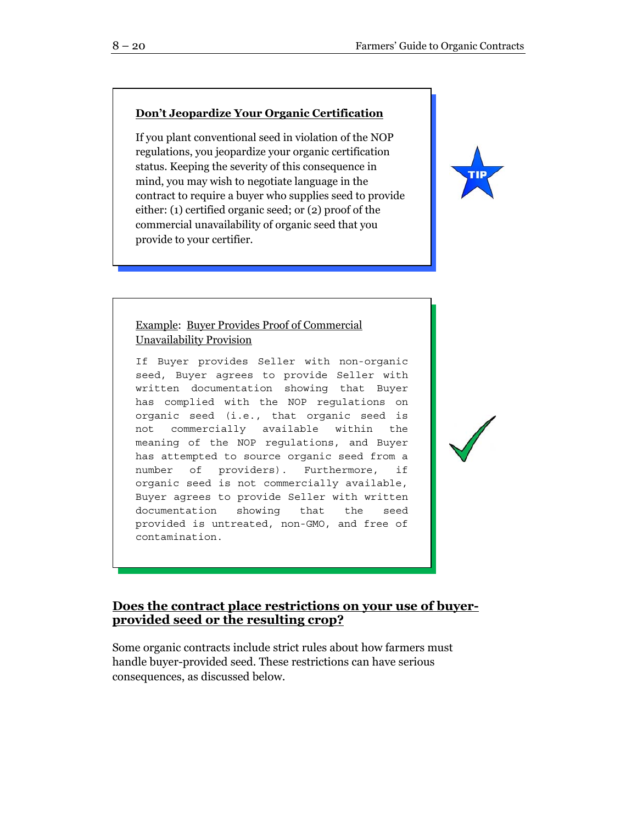# **Don't Jeopardize Your Organic Certification**

If you plant conventional seed in violation of the NOP regulations, you jeopardize your organic certification status. Keeping the severity of this consequence in mind, you may wish to negotiate language in the contract to require a buyer who supplies seed to provide either: (1) certified organic seed; or (2) proof of the commercial unavailability of organic seed that you provide to your certifier.



#### Example: Buyer Provides Proof of Commercial Unavailability Provision

If Buyer provides Seller with non-organic seed, Buyer agrees to provide Seller with written documentation showing that Buyer has complied with the NOP regulations on organic seed (i.e., that organic seed is not commercially available within the meaning of the NOP regulations, and Buyer has attempted to source organic seed from a number of providers). Furthermore, if organic seed is not commercially available, Buyer agrees to provide Seller with written documentation showing that the seed provided is untreated, non-GMO, and free of contamination.

# **Does the contract place restrictions on your use of buyerprovided seed or the resulting crop?**

Some organic contracts include strict rules about how farmers must handle buyer-provided seed. These restrictions can have serious consequences, as discussed below.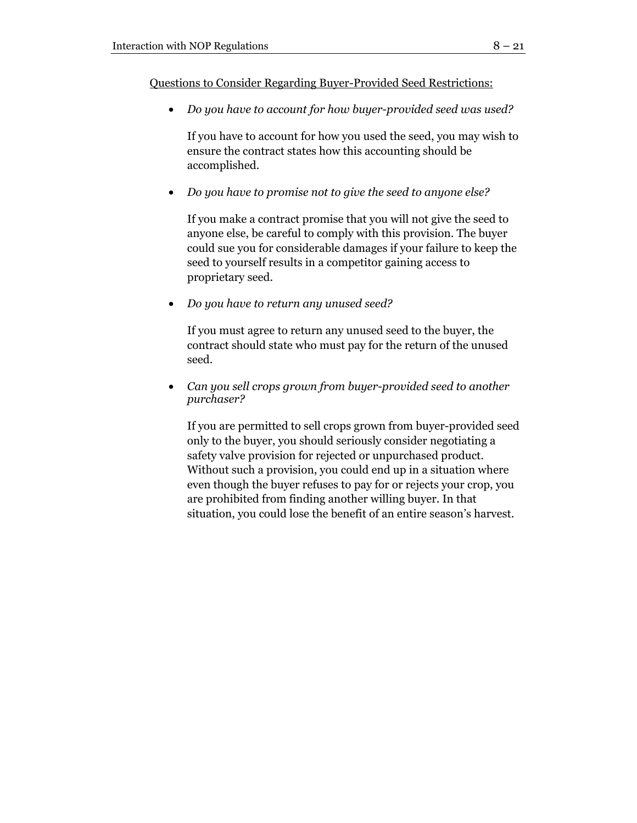Questions to Consider Regarding Buyer-Provided Seed Restrictions:

• *Do you have to account for how buyer-provided seed was used?* 

If you have to account for how you used the seed, you may wish to ensure the contract states how this accounting should be accomplished.

• *Do you have to promise not to give the seed to anyone else?* 

If you make a contract promise that you will not give the seed to anyone else, be careful to comply with this provision. The buyer could sue you for considerable damages if your failure to keep the seed to yourself results in a competitor gaining access to proprietary seed.

• *Do you have to return any unused seed?* 

If you must agree to return any unused seed to the buyer, the contract should state who must pay for the return of the unused seed.

• *Can you sell crops grown from buyer-provided seed to another purchaser?* 

If you are permitted to sell crops grown from buyer-provided seed only to the buyer, you should seriously consider negotiating a safety valve provision for rejected or unpurchased product. Without such a provision, you could end up in a situation where even though the buyer refuses to pay for or rejects your crop, you are prohibited from finding another willing buyer. In that situation, you could lose the benefit of an entire season's harvest.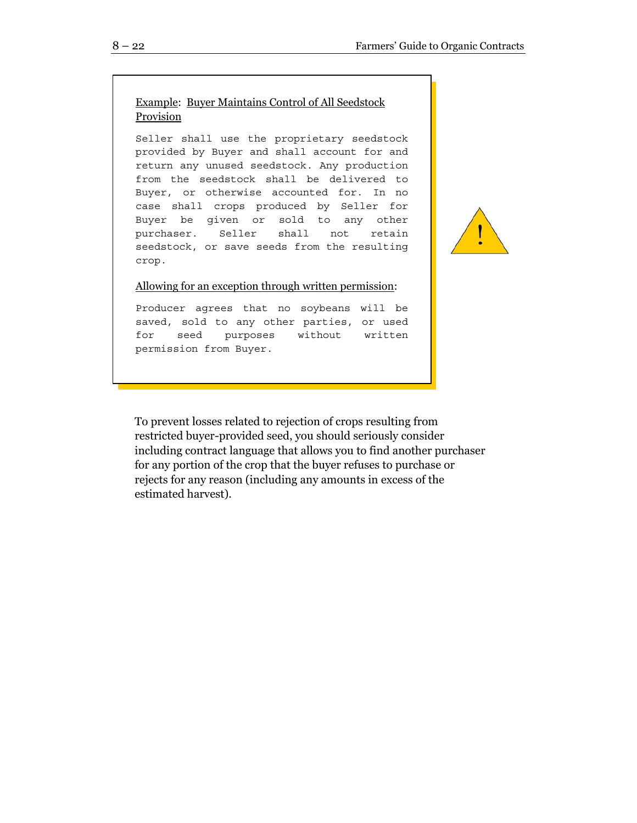# Example: Buyer Maintains Control of All Seedstock Provision

Seller shall use the proprietary seedstock provided by Buyer and shall account for and return any unused seedstock. Any production from the seedstock shall be delivered to Buyer, or otherwise accounted for. In no case shall crops produced by Seller for Buyer be given or sold to any other purchaser. Seller shall not retain seedstock, or save seeds from the resulting crop.

#### Allowing for an exception through written permission:

Producer agrees that no soybeans will be saved, sold to any other parties, or used for seed purposes without written permission from Buyer.

To prevent losses related to rejection of crops resulting from restricted buyer-provided seed, you should seriously consider including contract language that allows you to find another purchaser for any portion of the crop that the buyer refuses to purchase or rejects for any reason (including any amounts in excess of the estimated harvest).

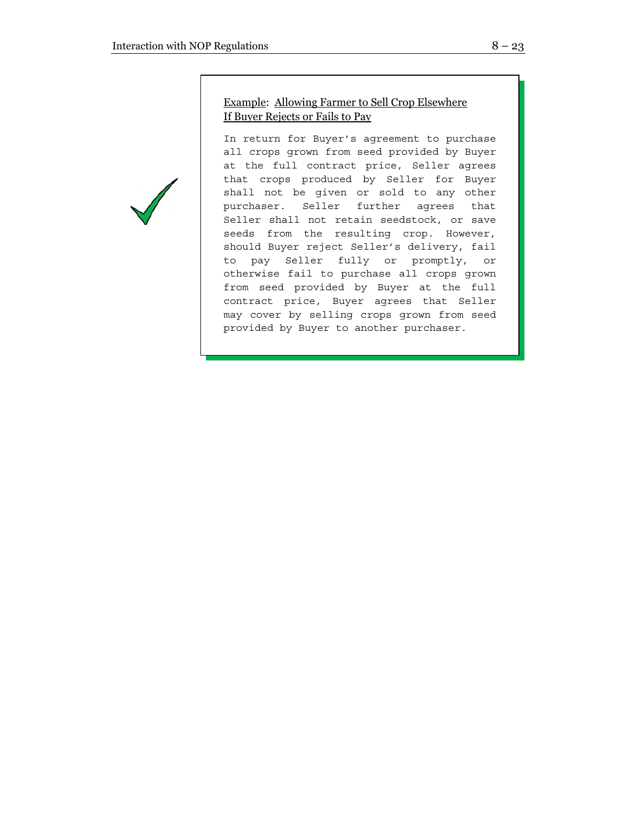# Example: Allowing Farmer to Sell Crop Elsewhere If Buyer Rejects or Fails to Pay

In return for Buyer's agreement to purchase all crops grown from seed provided by Buyer at the full contract price, Seller agrees that crops produced by Seller for Buyer shall not be given or sold to any other purchaser. Seller further agrees that Seller shall not retain seedstock, or save seeds from the resulting crop. However, should Buyer reject Seller's delivery, fail to pay Seller fully or promptly, or otherwise fail to purchase all crops grown from seed provided by Buyer at the full contract price, Buyer agrees that Seller may cover by selling crops grown from seed provided by Buyer to another purchaser.

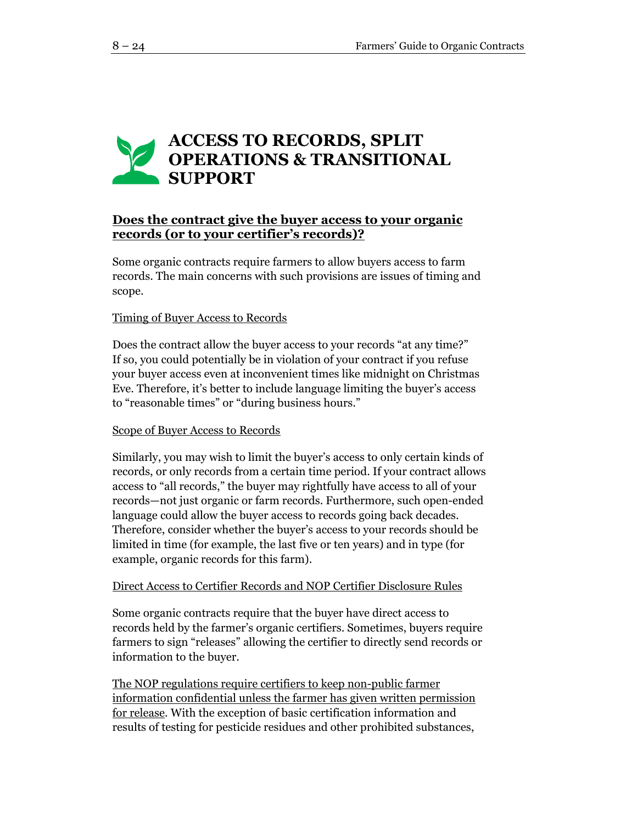# **ACCESS TO RECORDS, SPLIT OPERATIONS & TRANSITIONAL SUPPORT**

# **Does the contract give the buyer access to your organic records (or to your certifier's records)?**

Some organic contracts require farmers to allow buyers access to farm records. The main concerns with such provisions are issues of timing and scope.

# Timing of Buyer Access to Records

Does the contract allow the buyer access to your records "at any time?" If so, you could potentially be in violation of your contract if you refuse your buyer access even at inconvenient times like midnight on Christmas Eve. Therefore, it's better to include language limiting the buyer's access to "reasonable times" or "during business hours."

#### Scope of Buyer Access to Records

Similarly, you may wish to limit the buyer's access to only certain kinds of records, or only records from a certain time period. If your contract allows access to "all records," the buyer may rightfully have access to all of your records—not just organic or farm records. Furthermore, such open-ended language could allow the buyer access to records going back decades. Therefore, consider whether the buyer's access to your records should be limited in time (for example, the last five or ten years) and in type (for example, organic records for this farm).

#### Direct Access to Certifier Records and NOP Certifier Disclosure Rules

Some organic contracts require that the buyer have direct access to records held by the farmer's organic certifiers. Sometimes, buyers require farmers to sign "releases" allowing the certifier to directly send records or information to the buyer.

The NOP regulations require certifiers to keep non-public farmer information confidential unless the farmer has given written permission for release. With the exception of basic certification information and results of testing for pesticide residues and other prohibited substances,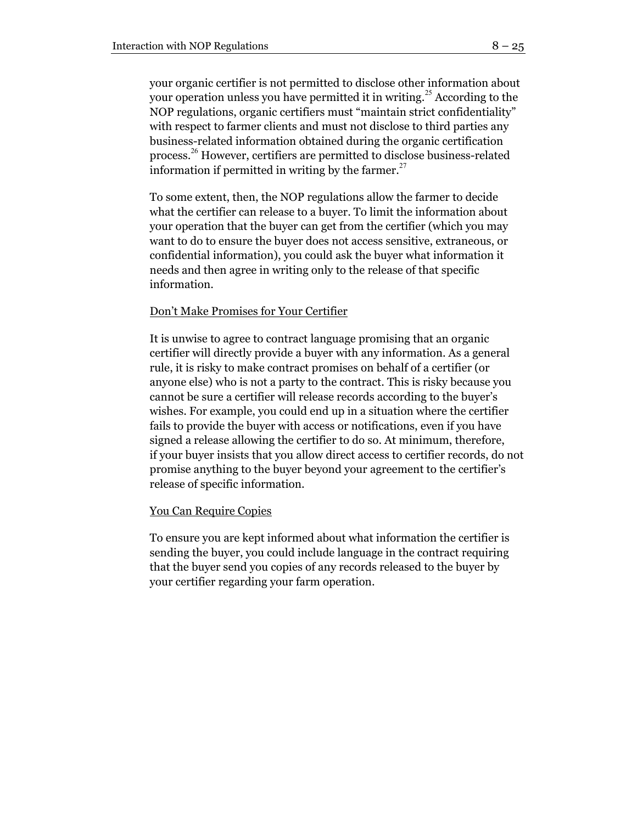your organic certifier is not permitted to disclose other information about your operation unless you have permitted it in writing.<sup>25</sup> According to the NOP regulations, organic certifiers must "maintain strict confidentiality" with respect to farmer clients and must not disclose to third parties any business-related information obtained during the organic certification process. <sup>26</sup> However, certifiers are permitted to disclose business-related information if permitted in writing by the farmer.<sup>27</sup>

To some extent, then, the NOP regulations allow the farmer to decide what the certifier can release to a buyer. To limit the information about your operation that the buyer can get from the certifier (which you may want to do to ensure the buyer does not access sensitive, extraneous, or confidential information), you could ask the buyer what information it needs and then agree in writing only to the release of that specific information.

#### Don't Make Promises for Your Certifier

It is unwise to agree to contract language promising that an organic certifier will directly provide a buyer with any information. As a general rule, it is risky to make contract promises on behalf of a certifier (or anyone else) who is not a party to the contract. This is risky because you cannot be sure a certifier will release records according to the buyer's wishes. For example, you could end up in a situation where the certifier fails to provide the buyer with access or notifications, even if you have signed a release allowing the certifier to do so. At minimum, therefore, if your buyer insists that you allow direct access to certifier records, do not promise anything to the buyer beyond your agreement to the certifier's release of specific information.

#### You Can Require Copies

To ensure you are kept informed about what information the certifier is sending the buyer, you could include language in the contract requiring that the buyer send you copies of any records released to the buyer by your certifier regarding your farm operation.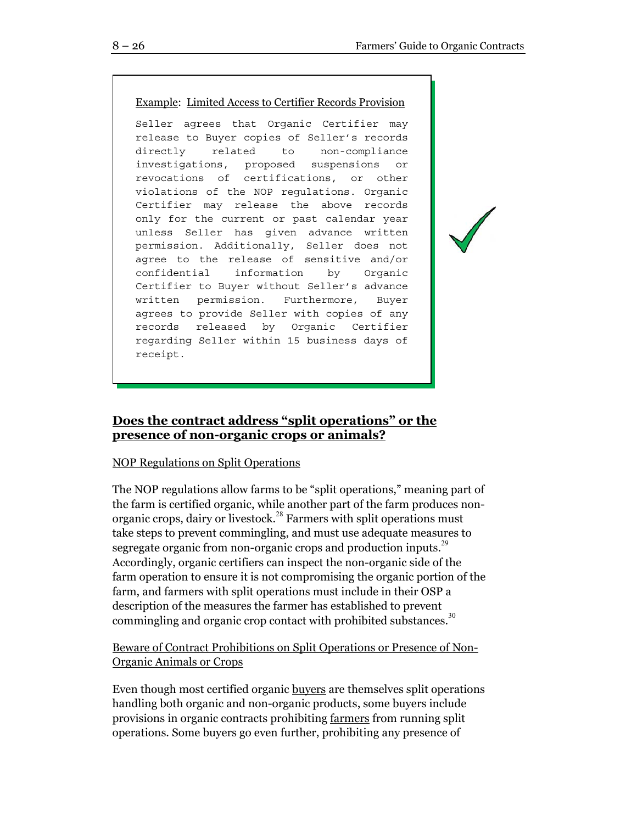# Example: Limited Access to Certifier Records Provision

Seller agrees that Organic Certifier may release to Buyer copies of Seller's records directly related to non-compliance investigations, proposed suspensions or revocations of certifications, or other violations of the NOP regulations. Organic Certifier may release the above records only for the current or past calendar year unless Seller has given advance written permission. Additionally, Seller does not agree to the release of sensitive and/or confidential information by Organic Certifier to Buyer without Seller's advance written permission. Furthermore, Buyer agrees to provide Seller with copies of any records released by Organic Certifier regarding Seller within 15 business days of receipt.

# **Does the contract address "split operations" or the presence of non-organic crops or animals?**

# NOP Regulations on Split Operations

The NOP regulations allow farms to be "split operations," meaning part of the farm is certified organic, while another part of the farm produces nonorganic crops, dairy or livestock.<sup>28</sup> Farmers with split operations must take steps to prevent commingling, and must use adequate measures to segregate organic from non-organic crops and production inputs.<sup>29</sup> Accordingly, organic certifiers can inspect the non-organic side of the farm operation to ensure it is not compromising the organic portion of the farm, and farmers with split operations must include in their OSP a description of the measures the farmer has established to prevent commingling and organic crop contact with prohibited substances.<sup>30</sup>

# Beware of Contract Prohibitions on Split Operations or Presence of Non-Organic Animals or Crops

Even though most certified organic buyers are themselves split operations handling both organic and non-organic products, some buyers include provisions in organic contracts prohibiting farmers from running split operations. Some buyers go even further, prohibiting any presence of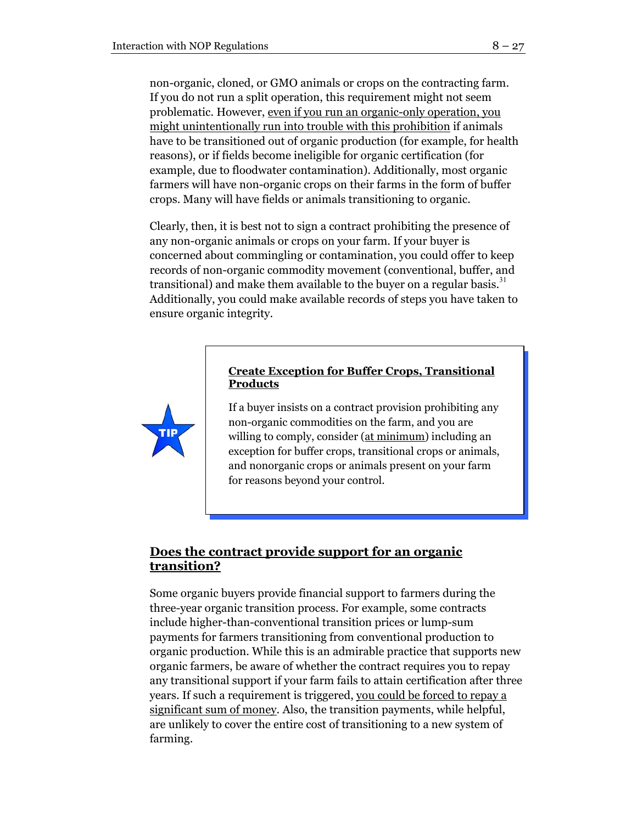non-organic, cloned, or GMO animals or crops on the contracting farm. If you do not run a split operation, this requirement might not seem problematic. However, even if you run an organic-only operation, you might unintentionally run into trouble with this prohibition if animals have to be transitioned out of organic production (for example, for health reasons), or if fields become ineligible for organic certification (for example, due to floodwater contamination). Additionally, most organic farmers will have non-organic crops on their farms in the form of buffer crops. Many will have fields or animals transitioning to organic.

Clearly, then, it is best not to sign a contract prohibiting the presence of any non-organic animals or crops on your farm. If your buyer is concerned about commingling or contamination, you could offer to keep records of non-organic commodity movement (conventional, buffer, and transitional) and make them available to the buyer on a regular basis.<sup>31</sup> Additionally, you could make available records of steps you have taken to ensure organic integrity.

# **Create Exception for Buffer Crops, Transitional Products**

If a buyer insists on a contract provision prohibiting any non-organic commodities on the farm, and you are willing to comply, consider (at minimum) including an exception for buffer crops, transitional crops or animals, and nonorganic crops or animals present on your farm for reasons beyond your control.

# **Does the contract provide support for an organic transition?**

Some organic buyers provide financial support to farmers during the three-year organic transition process. For example, some contracts include higher-than-conventional transition prices or lump-sum payments for farmers transitioning from conventional production to organic production. While this is an admirable practice that supports new organic farmers, be aware of whether the contract requires you to repay any transitional support if your farm fails to attain certification after three years. If such a requirement is triggered, you could be forced to repay a significant sum of money. Also, the transition payments, while helpful, are unlikely to cover the entire cost of transitioning to a new system of farming.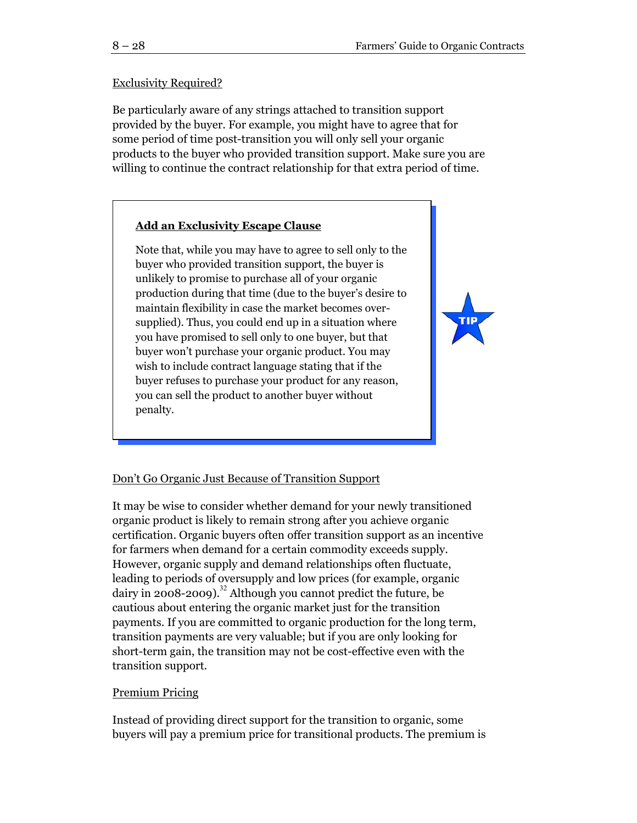#### Exclusivity Required?

Be particularly aware of any strings attached to transition support provided by the buyer. For example, you might have to agree that for some period of time post-transition you will only sell your organic products to the buyer who provided transition support. Make sure you are willing to continue the contract relationship for that extra period of time.

# **Add an Exclusivity Escape Clause**

Note that, while you may have to agree to sell only to the buyer who provided transition support, the buyer is unlikely to promise to purchase all of your organic production during that time (due to the buyer's desire to maintain flexibility in case the market becomes oversupplied). Thus, you could end up in a situation where you have promised to sell only to one buyer, but that buyer won't purchase your organic product. You may wish to include contract language stating that if the buyer refuses to purchase your product for any reason, you can sell the product to another buyer without penalty.



#### Don't Go Organic Just Because of Transition Support

It may be wise to consider whether demand for your newly transitioned organic product is likely to remain strong after you achieve organic certification. Organic buyers often offer transition support as an incentive for farmers when demand for a certain commodity exceeds supply. However, organic supply and demand relationships often fluctuate, leading to periods of oversupply and low prices (for example, organic dairy in 2008-2009).<sup>32</sup> Although you cannot predict the future, be cautious about entering the organic market just for the transition payments. If you are committed to organic production for the long term, transition payments are very valuable; but if you are only looking for short-term gain, the transition may not be cost-effective even with the transition support.

#### Premium Pricing

Instead of providing direct support for the transition to organic, some buyers will pay a premium price for transitional products. The premium is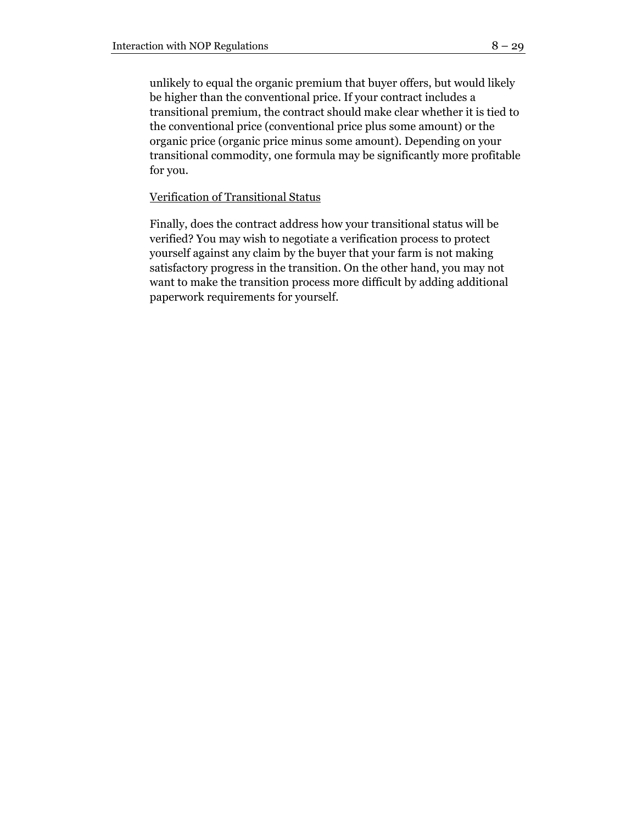unlikely to equal the organic premium that buyer offers, but would likely be higher than the conventional price. If your contract includes a transitional premium, the contract should make clear whether it is tied to the conventional price (conventional price plus some amount) or the organic price (organic price minus some amount). Depending on your transitional commodity, one formula may be significantly more profitable for you.

#### Verification of Transitional Status

Finally, does the contract address how your transitional status will be verified? You may wish to negotiate a verification process to protect yourself against any claim by the buyer that your farm is not making satisfactory progress in the transition. On the other hand, you may not want to make the transition process more difficult by adding additional paperwork requirements for yourself.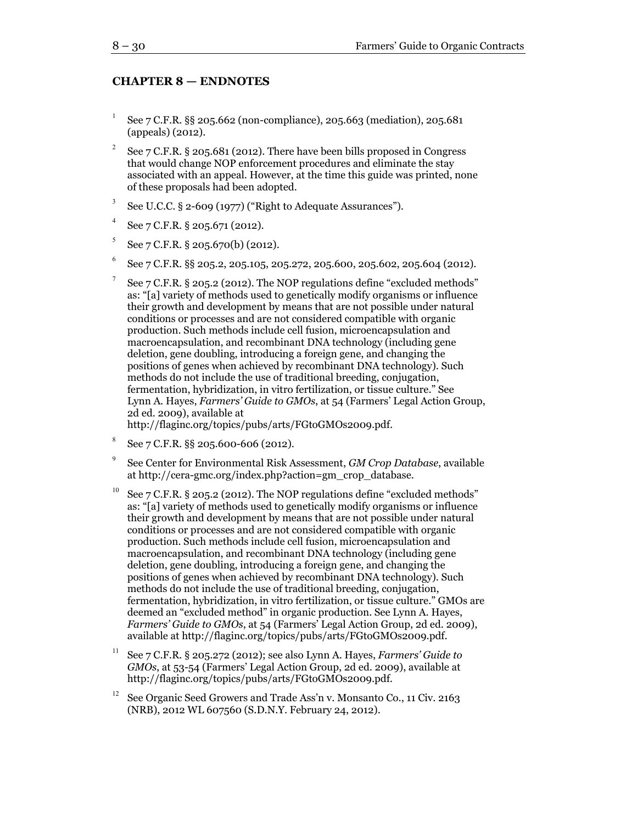#### **CHAPTER 8 — ENDNOTES**

- 1 See 7 C.F.R. §§ 205.662 (non-compliance), 205.663 (mediation), 205.681 (appeals) (2012).
- 2 See 7 C.F.R. § 205.681 (2012). There have been bills proposed in Congress that would change NOP enforcement procedures and eliminate the stay associated with an appeal. However, at the time this guide was printed, none of these proposals had been adopted.
- 3 See U.C.C. § 2-609 (1977) ("Right to Adequate Assurances").
- 4 See 7 C.F.R. § 205.671 (2012).
- 5 See 7 C.F.R. § 205.670(b) (2012).
- 6 See 7 C.F.R. §§ 205.2, 205.105, 205.272, 205.600, 205.602, 205.604 (2012).
- 7 See 7 C.F.R. § 205.2 (2012). The NOP regulations define "excluded methods" as: "[a] variety of methods used to genetically modify organisms or influence their growth and development by means that are not possible under natural conditions or processes and are not considered compatible with organic production. Such methods include cell fusion, microencapsulation and macroencapsulation, and recombinant DNA technology (including gene deletion, gene doubling, introducing a foreign gene, and changing the positions of genes when achieved by recombinant DNA technology). Such methods do not include the use of traditional breeding, conjugation, fermentation, hybridization, in vitro fertilization, or tissue culture." See Lynn A. Hayes, *Farmers' Guide to GMOs*, at 54 (Farmers' Legal Action Group, 2d ed. 2009), available at

http://flaginc.org/topics/pubs/arts/FGtoGMOs2009.pdf.

- 8 See 7 C.F.R. §§ 205.600-606 (2012).
- 9 See Center for Environmental Risk Assessment, *GM Crop Database*, available at http://cera-gmc.org/index.php?action=gm\_crop\_database.
- <sup>10</sup> See 7 C.F.R. § 205.2 (2012). The NOP regulations define "excluded methods" as: "[a] variety of methods used to genetically modify organisms or influence their growth and development by means that are not possible under natural conditions or processes and are not considered compatible with organic production. Such methods include cell fusion, microencapsulation and macroencapsulation, and recombinant DNA technology (including gene deletion, gene doubling, introducing a foreign gene, and changing the positions of genes when achieved by recombinant DNA technology). Such methods do not include the use of traditional breeding, conjugation, fermentation, hybridization, in vitro fertilization, or tissue culture." GMOs are deemed an "excluded method" in organic production. See Lynn A. Hayes, *Farmers' Guide to GMOs*, at 54 (Farmers' Legal Action Group, 2d ed. 2009), available at http://flaginc.org/topics/pubs/arts/FGtoGMOs2009.pdf.
- <sup>11</sup> See 7 C.F.R. § 205.272 (2012); see also Lynn A. Hayes, *Farmers' Guide to GMOs*, at 53-54 (Farmers' Legal Action Group, 2d ed. 2009), available at http://flaginc.org/topics/pubs/arts/FGtoGMOs2009.pdf.
- See Organic Seed Growers and Trade Ass'n v. Monsanto Co., 11 Civ. 2163 (NRB), 2012 WL 607560 (S.D.N.Y. February 24, 2012).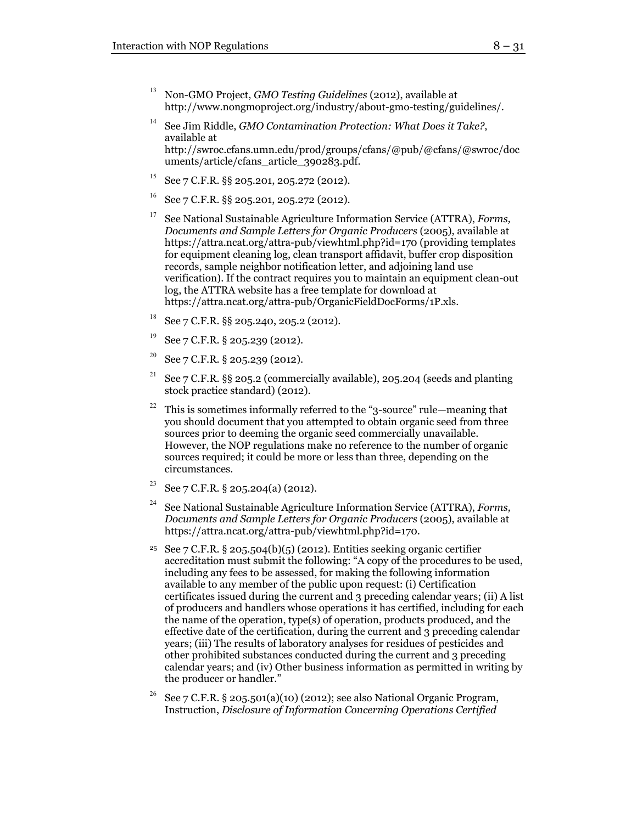- <sup>13</sup> Non-GMO Project, *GMO Testing Guidelines* (2012), available at http://www.nongmoproject.org/industry/about-gmo-testing/guidelines/.
- <sup>14</sup> See Jim Riddle, *GMO Contamination Protection: What Does it Take?*, available at http://swroc.cfans.umn.edu/prod/groups/cfans/@pub/@cfans/@swroc/doc uments/article/cfans\_article\_390283.pdf.
- <sup>15</sup> See 7 C.F.R. §§ 205.201, 205.272 (2012).
- <sup>16</sup> See 7 C.F.R. §§ 205.201, 205.272 (2012).
- <sup>17</sup> See National Sustainable Agriculture Information Service (ATTRA), *Forms, Documents and Sample Letters for Organic Producers* (2005), available at https://attra.ncat.org/attra-pub/viewhtml.php?id=170 (providing templates for equipment cleaning log, clean transport affidavit, buffer crop disposition records, sample neighbor notification letter, and adjoining land use verification). If the contract requires you to maintain an equipment clean-out log, the ATTRA website has a free template for download at https://attra.ncat.org/attra-pub/OrganicFieldDocForms/1P.xls.
- <sup>18</sup> See 7 C.F.R. §§ 205.240, 205.2 (2012).
- <sup>19</sup> See 7 C.F.R. § 205.239 (2012).
- <sup>20</sup> See 7 C.F.R. § 205.239 (2012).
- <sup>21</sup> See 7 C.F.R. §§ 205.2 (commercially available), 205.204 (seeds and planting stock practice standard) (2012).
- <sup>22</sup> This is sometimes informally referred to the "3-source" rule—meaning that you should document that you attempted to obtain organic seed from three sources prior to deeming the organic seed commercially unavailable. However, the NOP regulations make no reference to the number of organic sources required; it could be more or less than three, depending on the circumstances.
- <sup>23</sup> See 7 C.F.R. § 205.204(a) (2012).
- <sup>24</sup> See National Sustainable Agriculture Information Service (ATTRA), *Forms, Documents and Sample Letters for Organic Producers* (2005), available at https://attra.ncat.org/attra-pub/viewhtml.php?id=170.
- <sup>25</sup> See 7 C.F.R. § 205.504(b)(5) (2012). Entities seeking organic certifier accreditation must submit the following: "A copy of the procedures to be used, including any fees to be assessed, for making the following information available to any member of the public upon request: (i) Certification certificates issued during the current and 3 preceding calendar years; (ii) A list of producers and handlers whose operations it has certified, including for each the name of the operation, type(s) of operation, products produced, and the effective date of the certification, during the current and 3 preceding calendar years; (iii) The results of laboratory analyses for residues of pesticides and other prohibited substances conducted during the current and 3 preceding calendar years; and (iv) Other business information as permitted in writing by the producer or handler."
- See 7 C.F.R. § 205.501(a)(10) (2012); see also National Organic Program, Instruction, *Disclosure of Information Concerning Operations Certified*